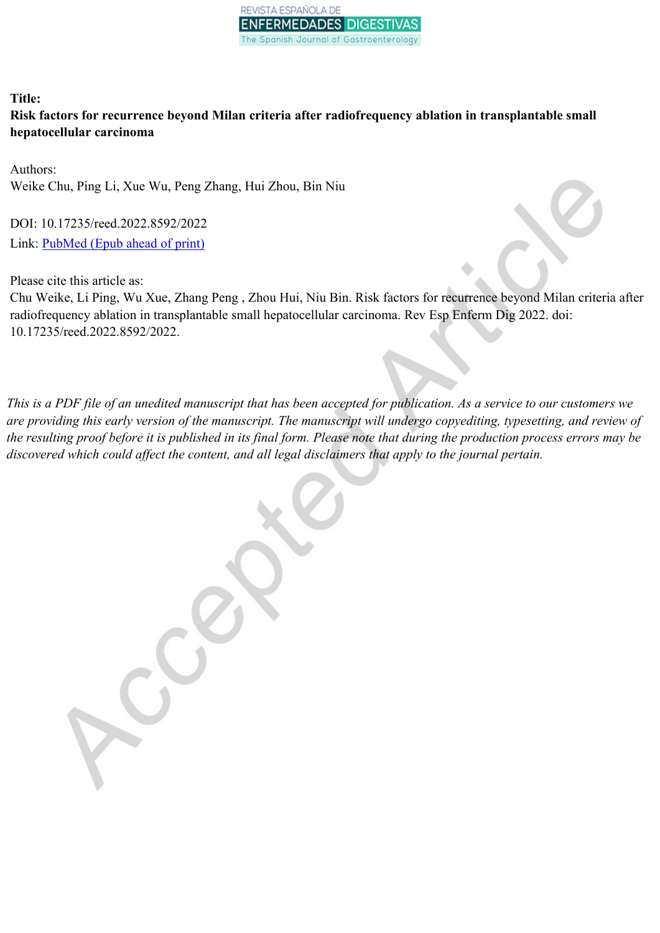

# **Title: Risk factors for recurrence beyond Milan criteria after radiofrequency ablation in transplantable small hepatocellular carcinoma**

Authors: Weike Chu, Ping Li, Xue Wu, Peng Zhang, Hui Zhou, Bin Niu

DOI: 10.17235/reed.2022.8592/2022 Link: [PubMed](https://www.ncbi.nlm.nih.gov/pubmed/?term=10.17235/reed.2022.8592/2022) (Epub ahead of print)

Please cite this article as:

Chu Weike, Li Ping, Wu Xue, Zhang Peng , Zhou Hui, Niu Bin. Risk factors for recurrence beyond Milan criteria after radiofrequency ablation in transplantable small hepatocellular carcinoma. Rev Esp Enferm Dig 2022. doi: 10.17235/reed.2022.8592/2022.

This is a PDF file of an unedited manuscript that has been accepted for publication. As a service to our customers we are providing this early version of the manuscript. The manuscript will undergo copyediting, typesetting, and review of the resulting proof before it is published in its final form. Please note that during the production process errors may be *discovered which could affect the content, and all legal disclaimers that apply to the journal pertain.*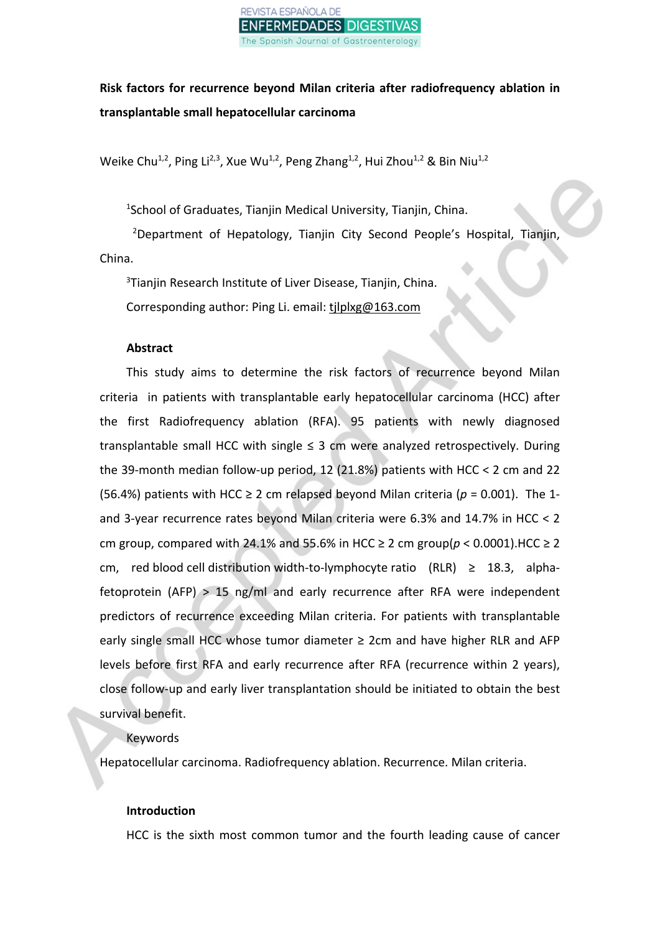

**Risk factors for recurrence beyond Milan criteria after radiofrequency ablation in transplantable small hepatocellular carcinoma**

Weike Chu<sup>1,2</sup>, Ping Li<sup>2,3</sup>, Xue Wu<sup>1,2</sup>, Peng Zhang<sup>1,2</sup>, Hui Zhou<sup>1,2</sup> & Bin Niu<sup>1,2</sup>

<sup>1</sup>School of Graduates, Tianjin Medical University, Tianjin, China.

<sup>2</sup>Department of Hepatology, Tianjin City Second People's Hospital, Tianjin, China.

<sup>3</sup>Tianjin Research Institute of Liver Disease, Tianjin, China.

Corresponding author: Ping Li. email: tjlplxg@163.com

# **Abstract**

This study aims to determine the risk factors of recurrence beyond Milan criteria in patients with transplantable early hepatocellular carcinoma (HCC) after the first Radiofrequency ablation (RFA). 95 patients with newly diagnosed transplantable small HCC with single  $\leq$  3 cm were analyzed retrospectively. During the 39-month median follow-up period, 12 (21.8%) patients with HCC < 2 cm and 22 (56.4%) patients with HCC  $\geq$  2 cm relapsed beyond Milan criteria ( $p = 0.001$ ). The 1and 3-year recurrence rates beyond Milan criteria were 6.3% and 14.7% in HCC < 2 cm group, compared with 24.1% and 55.6% in HCC  $\geq$  2 cm group( $p < 0.0001$ ).HCC  $\geq$  2 cm, red blood cell distribution width-to-lymphocyte ratio  $(RLR) \geq 18.3$ , alphafetoprotein (AFP) > 15 ng/ml and early recurrence after RFA were independent predictors of recurrence exceeding Milan criteria. For patients with transplantable early single small HCC whose tumor diameter  $\geq 2$ cm and have higher RLR and AFP levels before first RFA and early recurrence after RFA (recurrence within 2 years), close follow-up and early liver transplantation should be initiated to obtain the best survival benefit.

# Keywords

Hepatocellular carcinoma. Radiofrequency ablation. Recurrence. Milan criteria.

# **Introduction**

HCC is the sixth most common tumor and the fourth leading cause of cancer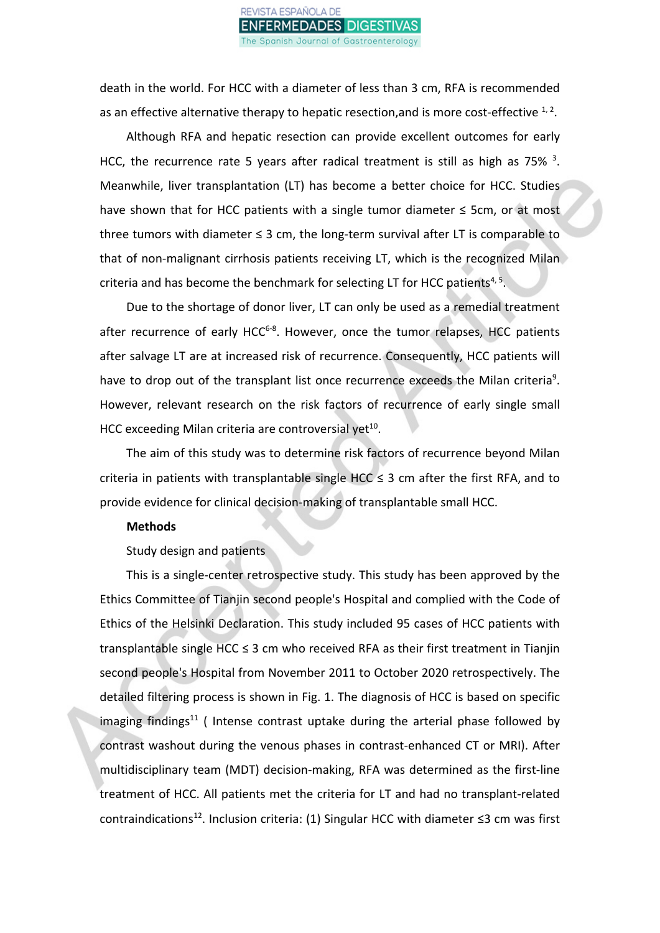

death in the world. For HCC with a diameter of less than 3 cm, RFA is recommended as an effective alternative therapy to hepatic resection, and is more cost-effective  $1, 2$ .

Although RFA and hepatic resection can provide excellent outcomes for early HCC, the recurrence rate 5 years after radical treatment is still as high as 75%  $3$ . Meanwhile, liver transplantation (LT) has become a better choice for HCC. Studies have shown that for HCC patients with a single tumor diameter ≤ 5cm, or at most three tumors with diameter  $\leq$  3 cm, the long-term survival after LT is comparable to that of non-malignant cirrhosis patients receiving LT, which is the recognized Milan criteria and has become the benchmark for selecting LT for HCC patients<sup>4, 5</sup>.

Due to the shortage of donor liver, LT can only be used as a remedial treatment after recurrence of early HCC<sup>6-8</sup>. However, once the tumor relapses, HCC patients after salvage LT are at increased risk of recurrence. Consequently, HCC patients will have to drop out of the transplant list once recurrence exceeds the Milan criteria<sup>9</sup>. However, relevant research on the risk factors of recurrence of early single small HCC exceeding Milan criteria are controversial yet<sup>10</sup>.

The aim of this study was to determine risk factors of recurrence beyond Milan criteria in patients with transplantable single HCC  $\leq$  3 cm after the first RFA, and to provide evidence for clinical decision-making of transplantable small HCC.

#### **Methods**

Study design and patients

This is a single-center retrospective study. This study has been approved by the Ethics Committee of Tianjin second people's Hospital and complied with the Code of Ethics of the Helsinki Declaration. This study included 95 cases of HCC patients with transplantable single HCC  $\leq$  3 cm who received RFA as their first treatment in Tianjin second people's Hospital from November 2011 to October 2020 retrospectively. The detailed filtering process is shown in Fig. 1. The diagnosis of HCC is based on specific imaging findings<sup>11</sup> (Intense contrast uptake during the arterial phase followed by contrast washout during the venous phases in contrast-enhanced CT or MRI). After multidisciplinary team (MDT) decision-making, RFA was determined as the first-line treatment of HCC. All patients met the criteria for LT and had no transplant-related contraindications<sup>12</sup>. Inclusion criteria: (1) Singular HCC with diameter  $\leq$ 3 cm was first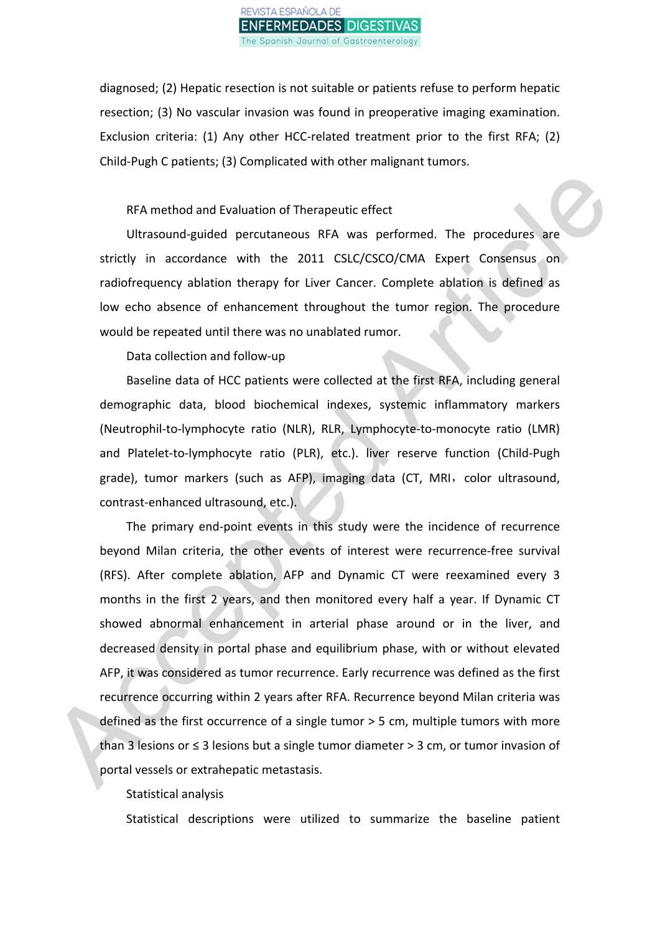

diagnosed; (2) Hepatic resection is not suitable or patients refuse to perform hepatic resection; (3) No vascular invasion was found in preoperative imaging examination. Exclusion criteria: (1) Any other HCC-related treatment prior to the first RFA; (2) Child-Pugh C patients; (3) Complicated with other malignant tumors.

RFA method and Evaluation of Therapeutic effect

Ultrasound-guided percutaneous RFA was performed. The procedures are strictly in accordance with the 2011 CSLC/CSCO/CMA Expert Consensus on radiofrequency ablation therapy for Liver Cancer. Complete ablation is defined as low echo absence of enhancement throughout the tumor region. The procedure would be repeated until there was no unablated rumor.

Data collection and follow-up

Baseline data of HCC patients were collected at the first RFA, including general demographic data, blood biochemical indexes, systemic inflammatory markers (Neutrophil-to-lymphocyte ratio (NLR), RLR, Lymphocyte-to-monocyte ratio (LMR) and Platelet-to-lymphocyte ratio (PLR), etc.). liver reserve function (Child-Pugh grade), tumor markers (such as AFP), imaging data (CT, MRI, color ultrasound, contrast-enhanced ultrasound, etc.).

The primary end-point events in this study were the incidence of recurrence beyond Milan criteria, the other events of interest were recurrence-free survival (RFS). After complete ablation, AFP and Dynamic CT were reexamined every 3 months in the first 2 years, and then monitored every half a year. If Dynamic CT showed abnormal enhancement in arterial phase around or in the liver, and decreased density in portal phase and equilibrium phase, with or without elevated AFP, it was considered as tumor recurrence. Early recurrence was defined as the first recurrence occurring within 2 years after RFA. Recurrence beyond Milan criteria was defined as the first occurrence of a single tumor > 5 cm, multiple tumors with more than 3 lesions or ≤ 3 lesions but a single tumor diameter > 3 cm, or tumor invasion of portal vessels or extrahepatic metastasis.

Statistical analysis

Statistical descriptions were utilized to summarize the baseline patient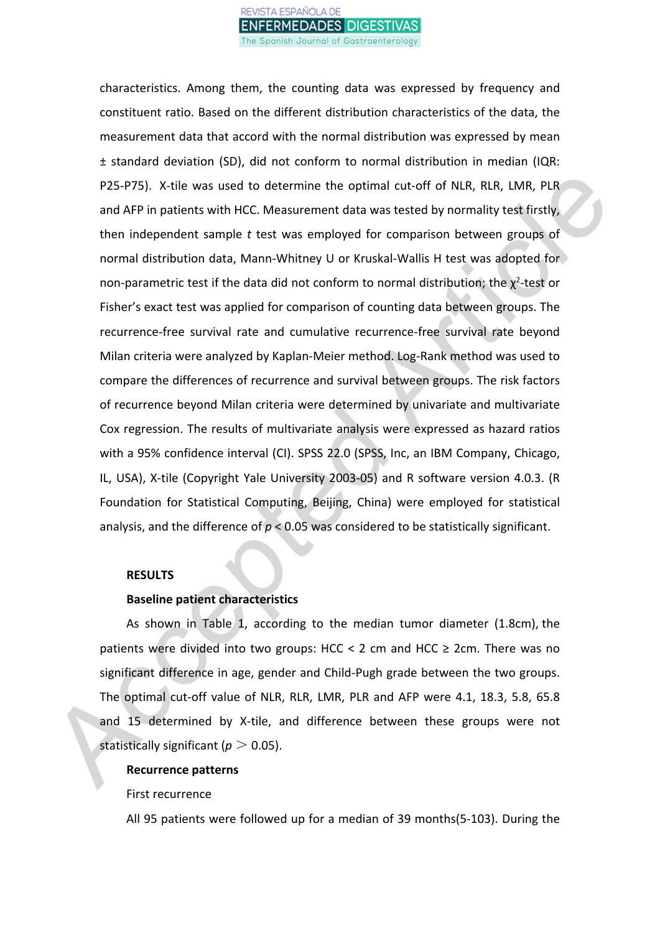

characteristics. Among them, the counting data was expressed by frequency and constituent ratio. Based on the different distribution characteristics of the data, the measurement data that accord with the normal distribution was expressed by mean ± standard deviation (SD), did not conform to normal distribution in median (IQR: P25-P75). X-tile was used to determine the optimal cut-off of NLR, RLR, LMR, PLR and AFP in patients with HCC. Measurement data was tested by normality test firstly, then independent sample *t* test was employed for comparison between groups of normal distribution data, Mann-Whitney U or Kruskal-Wallis H test was adopted for non-parametric test if the data did not conform to normal distribution; the  $\chi^2$ -test or Fisher's exact test was applied for comparison of counting data between groups. The recurrence-free survival rate and cumulative recurrence-free survival rate beyond Milan criteria were analyzed by Kaplan-Meier method. Log-Rank method was used to compare the differences of recurrence and survival between groups. The risk factors of recurrence beyond Milan criteria were determined by univariate and multivariate Cox regression. The results of multivariate analysis were expressed as hazard ratios with a 95% confidence interval (CI). SPSS 22.0 (SPSS, Inc, an IBM Company, Chicago, IL, USA), X-tile (Copyright Yale University 2003-05) and R software version 4.0.3. (R Foundation for Statistical Computing, Beijing, China) were employed for statistical analysis, and the difference of *p* < 0.05 was considered to be statistically significant.

#### **RESULTS**

## **Baseline patient characteristics**

As shown in Table 1, according to the median tumor diameter (1.8cm), the patients were divided into two groups: HCC < 2 cm and HCC  $\geq$  2cm. There was no significant difference in age, gender and Child-Pugh grade between the two groups. The optimal cut-off value of NLR, RLR, LMR, PLR and AFP were 4.1, 18.3, 5.8, 65.8 and 15 determined by X-tile, and difference between these groups were not statistically significant ( $p > 0.05$ ).

#### **Recurrence patterns**

First recurrence

All 95 patients were followed up for a median of 39 months(5-103). During the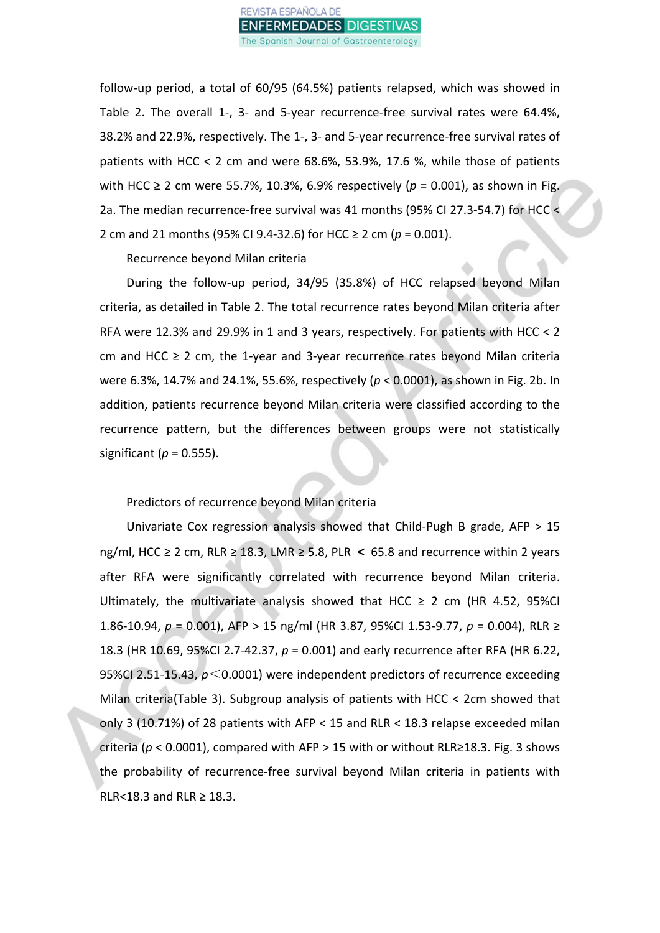

follow-up period, a total of 60/95 (64.5%) patients relapsed, which was showed in Table 2. The overall 1-, 3- and 5-year recurrence-free survival rates were 64.4%, 38.2% and 22.9%, respectively. The 1-, 3- and 5-year recurrence-free survival rates of patients with HCC < 2 cm and were 68.6%, 53.9%, 17.6 %, while those of patients with HCC ≥ 2 cm were 55.7%, 10.3%, 6.9% respectively ( $p = 0.001$ ), as shown in Fig. 2a. The median recurrence-free survival was 41 months (95% CI 27.3-54.7) for HCC < 2 cm and 21 months (95% CI 9.4-32.6) for HCC ≥ 2 cm (*p* = 0.001).

Recurrence beyond Milan criteria

During the follow-up period, 34/95 (35.8%) of HCC relapsed beyond Milan criteria, as detailed in Table 2. The total recurrence rates beyond Milan criteria after RFA were 12.3% and 29.9% in 1 and 3 years, respectively. For patients with HCC < 2 cm and HCC  $\geq$  2 cm, the 1-year and 3-year recurrence rates beyond Milan criteria were 6.3%, 14.7% and 24.1%, 55.6%, respectively (*p* < 0.0001), as shown in Fig. 2b. In addition, patients recurrence beyond Milan criteria were classified according to the recurrence pattern, but the differences between groups were not statistically significant ( $p = 0.555$ ).

Predictors of recurrence beyond Milan criteria

Univariate Cox regression analysis showed that Child-Pugh B grade, AFP > 15 ng/ml, HCC ≥ 2 cm, RLR ≥ 18.3, LMR ≥ 5.8, PLR **<** 65.8 and recurrence within 2 years after RFA were significantly correlated with recurrence beyond Milan criteria. Ultimately, the multivariate analysis showed that HCC  $\geq$  2 cm (HR 4.52, 95%CI 1.86-10.94, *p* = 0.001), AFP > 15 ng/ml (HR 3.87, 95%CI 1.53-9.77, *p* = 0.004), RLR ≥ 18.3 (HR 10.69, 95%CI 2.7-42.37, *p* = 0.001) and early recurrence after RFA (HR 6.22, 95%CI 2.51-15.43, *p*<0.0001) were independent predictors of recurrence exceeding Milan criteria(Table 3). Subgroup analysis of patients with HCC < 2cm showed that only 3 (10.71%) of 28 patients with AFP < 15 and RLR < 18.3 relapse exceeded milan criteria (*p* < 0.0001), compared with AFP > 15 with or without RLR≥18.3. Fig. 3 shows the probability of recurrence-free survival beyond Milan criteria in patients with RLR<18.3 and RLR  $\geq$  18.3.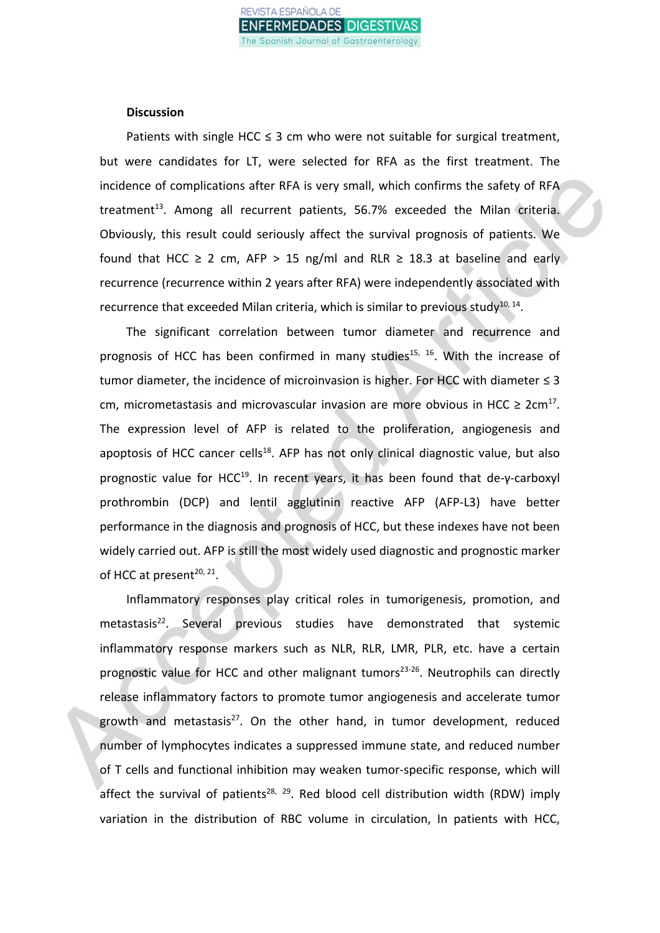#### **Discussion**

Patients with single HCC  $\leq$  3 cm who were not suitable for surgical treatment, but were candidates for LT, were selected for RFA as the first treatment. The incidence of complications after RFA is very small, which confirms the safety of RFA treatment<sup>13</sup>. Among all recurrent patients, 56.7% exceeded the Milan criteria. Obviously, this result could seriously affect the survival prognosis of patients. We found that HCC  $\geq$  2 cm, AFP  $>$  15 ng/ml and RLR  $\geq$  18.3 at baseline and early recurrence (recurrence within 2 years after RFA) were independently associated with recurrence that exceeded Milan criteria, which is similar to previous study $^{10, 14}$ .

The significant correlation between tumor diameter and recurrence and prognosis of HCC has been confirmed in many studies<sup>15, 16</sup>. With the increase of tumor diameter, the incidence of microinvasion is higher. For HCC with diameter  $\leq 3$ cm, micrometastasis and microvascular invasion are more obvious in HCC  $\geq 2$ cm<sup>17</sup>. The expression level of AFP is related to the proliferation, angiogenesis and apoptosis of HCC cancer cells<sup>18</sup>. AFP has not only clinical diagnostic value, but also prognostic value for HCC<sup>19</sup>. In recent years, it has been found that de-γ-carboxyl prothrombin (DCP) and lentil agglutinin reactive AFP (AFP-L3) have better performance in the diagnosis and prognosis of HCC, but these indexes have not been widely carried out. AFP is still the most widely used diagnostic and prognostic marker of HCC at present<sup>20, 21</sup>.

Inflammatory responses play critical roles in tumorigenesis, promotion, and metastasis<sup>22</sup>. Several previous studies have demonstrated that systemic inflammatory response markers such as NLR, RLR, LMR, PLR, etc. have a certain prognostic value for HCC and other malignant tumors<sup>23-26</sup>. Neutrophils can directly release inflammatory factors to promote tumor angiogenesis and accelerate tumor growth and metastasis<sup>27</sup>. On the other hand, in tumor development, reduced number of lymphocytes indicates a suppressed immune state, and reduced number of T cells and functional inhibition may weaken tumor-specific response, which will affect the survival of patients<sup>28, 29</sup>. Red blood cell distribution width (RDW) imply variation in the distribution of RBC volume in circulation, In patients with HCC,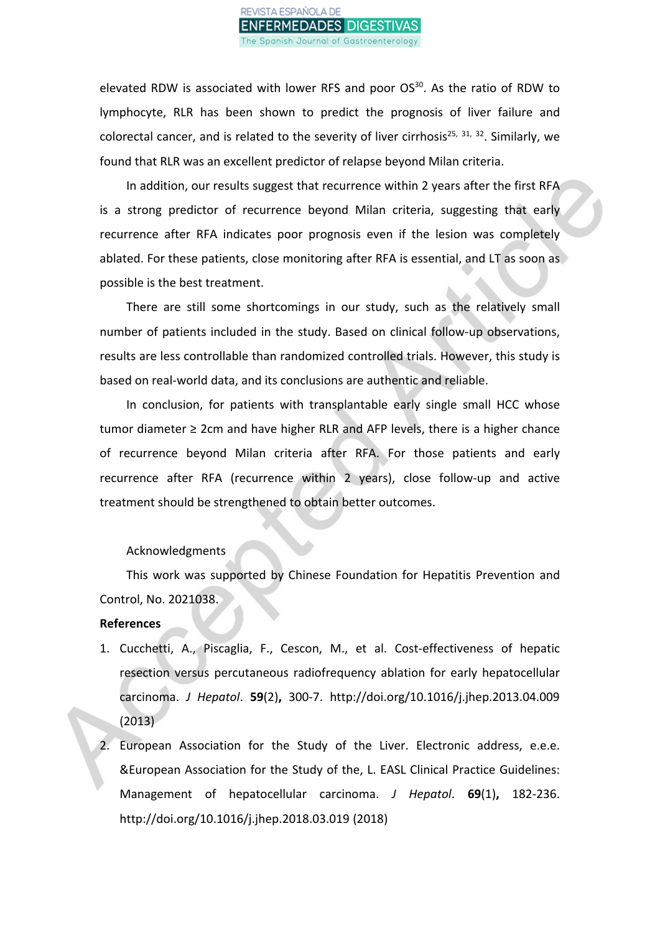#### VISTA ESPAÑOLA DE IFERMEDADES DIGEST ipanish Journal of Gastroenterology

elevated RDW is associated with lower RFS and poor  $OS<sup>30</sup>$ . As the ratio of RDW to lymphocyte, RLR has been shown to predict the prognosis of liver failure and colorectal cancer, and is related to the severity of liver cirrhosis<sup>25, 31, 32</sup>. Similarly, we found that RLR was an excellent predictor of relapse beyond Milan criteria.

In addition, our results suggest that recurrence within 2 years after the first RFA is a strong predictor of recurrence beyond Milan criteria, suggesting that early recurrence after RFA indicates poor prognosis even if the lesion was completely ablated. For these patients, close monitoring after RFA is essential, and LT as soon as possible is the best treatment.

There are still some shortcomings in our study, such as the relatively small number of patients included in the study. Based on clinical follow-up observations, results are less controllable than randomized controlled trials. However, this study is based on real-world data, and its conclusions are authentic and reliable.

In conclusion, for patients with transplantable early single small HCC whose tumor diameter ≥ 2cm and have higher RLR and AFP levels, there is a higher chance of recurrence beyond Milan criteria after RFA. For those patients and early recurrence after RFA (recurrence within 2 years), close follow-up and active treatment should be strengthened to obtain better outcomes.

### Acknowledgments

This work was supported by Chinese Foundation for Hepatitis Prevention and Control, No. 2021038.

#### **References**

- 1. Cucchetti, A., Piscaglia, F., Cescon, M., et al. Cost-effectiveness of hepatic resection versus percutaneous radiofrequency ablation for early hepatocellular carcinoma. *J Hepatol*. **59**(2)**,** 300-7. http://doi.org/10.1016/j.jhep.2013.04.009 (2013)
- 2. European Association for the Study of the Liver. Electronic address, e.e.e. &European Association for the Study of the, L. EASL Clinical Practice Guidelines: Management of hepatocellular carcinoma. *J Hepatol*. **69**(1)**,** 182-236. http://doi.org/10.1016/j.jhep.2018.03.019 (2018)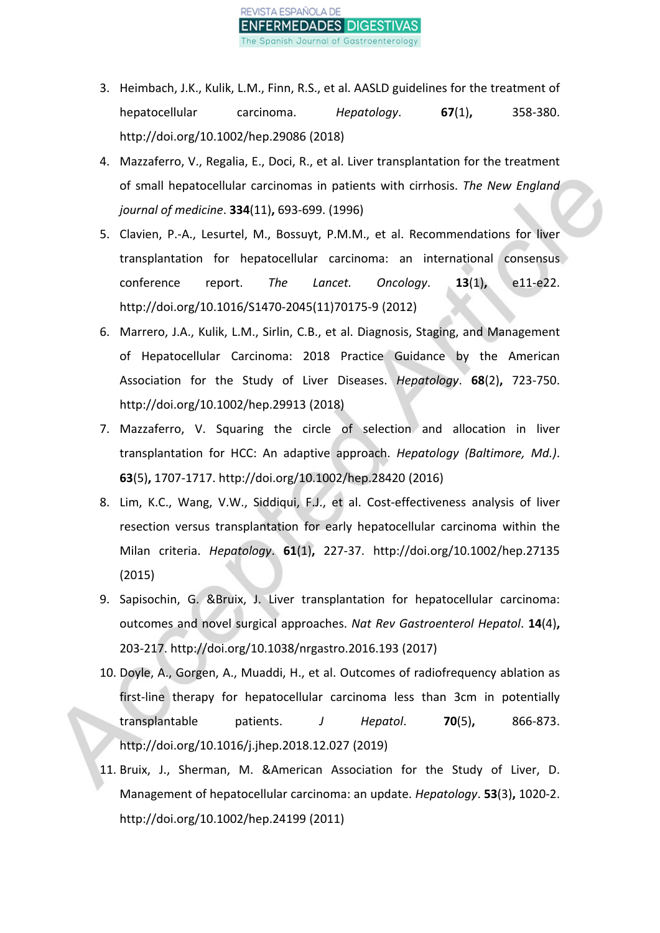

- 3. Heimbach, J.K., Kulik, L.M., Finn, R.S., et al. AASLD guidelines for the treatment of hepatocellular carcinoma. *Hepatology*. **67**(1)**,** 358-380. http://doi.org/10.1002/hep.29086 (2018)
- 4. Mazzaferro, V., Regalia, E., Doci, R., et al. Liver transplantation for the treatment of small hepatocellular carcinomas in patients with cirrhosis. *The New England journal of medicine*. **334**(11)**,** 693-699. (1996)
- 5. Clavien, P.-A., Lesurtel, M., Bossuyt, P.M.M., et al. Recommendations for liver transplantation for hepatocellular carcinoma: an international consensus conference report. *The Lancet. Oncology*. **13**(1)**,** e11-e22. http://doi.org/10.1016/S1470-2045(11)70175-9 (2012)
- 6. Marrero, J.A., Kulik, L.M., Sirlin, C.B., et al. Diagnosis, Staging, and Management of Hepatocellular Carcinoma: 2018 Practice Guidance by the American Association for the Study of Liver Diseases. *Hepatology*. **68**(2)**,** 723-750. http://doi.org/10.1002/hep.29913 (2018)
- 7. Mazzaferro, V. Squaring the circle of selection and allocation in liver transplantation for HCC: An adaptive approach. *Hepatology (Baltimore, Md.)*. **63**(5)**,** 1707-1717. http://doi.org/10.1002/hep.28420 (2016)
- 8. Lim, K.C., Wang, V.W., Siddiqui, F.J., et al. Cost-effectiveness analysis of liver resection versus transplantation for early hepatocellular carcinoma within the Milan criteria. *Hepatology*. **61**(1)**,** 227-37. http://doi.org/10.1002/hep.27135 (2015)
- 9. Sapisochin, G. &Bruix, J. Liver transplantation for hepatocellular carcinoma: outcomes and novel surgical approaches. *Nat Rev Gastroenterol Hepatol*. **14**(4)**,** 203-217. http://doi.org/10.1038/nrgastro.2016.193 (2017)
- 10. Doyle, A., Gorgen, A., Muaddi, H., et al. Outcomes of radiofrequency ablation as first-line therapy for hepatocellular carcinoma less than 3cm in potentially transplantable patients. *J Hepatol*. **70**(5)**,** 866-873. http://doi.org/10.1016/j.jhep.2018.12.027 (2019)
- 11. Bruix, J., Sherman, M. &American Association for the Study of Liver, D. Management of hepatocellular carcinoma: an update. *Hepatology*. **53**(3)**,** 1020-2. http://doi.org/10.1002/hep.24199 (2011)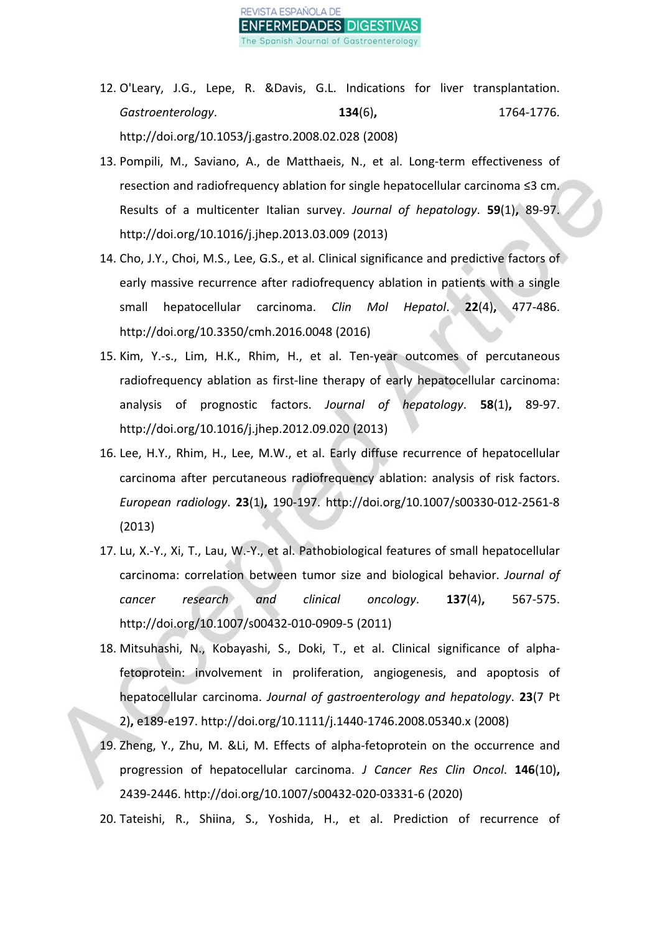

- 12. O'Leary, J.G., Lepe, R. &Davis, G.L. Indications for liver transplantation. *Gastroenterology*. **134**(6)**,** 1764-1776. http://doi.org/10.1053/j.gastro.2008.02.028 (2008)
- 13. Pompili, M., Saviano, A., de Matthaeis, N., et al. Long-term effectiveness of resection and radiofrequency ablation for single hepatocellular carcinoma ≤3 cm. Results of a multicenter Italian survey. *Journal of hepatology*. **59**(1)**,** 89-97. http://doi.org/10.1016/j.jhep.2013.03.009 (2013)
- 14. Cho, J.Y., Choi, M.S., Lee, G.S., et al. Clinical significance and predictive factors of early massive recurrence after radiofrequency ablation in patients with a single small hepatocellular carcinoma. *Clin Mol Hepatol*. **22**(4)**,** 477-486. http://doi.org/10.3350/cmh.2016.0048 (2016)
- 15. Kim, Y.-s., Lim, H.K., Rhim, H., et al. Ten-year outcomes of percutaneous radiofrequency ablation as first-line therapy of early hepatocellular carcinoma: analysis of prognostic factors. *Journal of hepatology*. **58**(1)**,** 89-97. http://doi.org/10.1016/j.jhep.2012.09.020 (2013)
- 16. Lee, H.Y., Rhim, H., Lee, M.W., et al. Early diffuse recurrence of hepatocellular carcinoma after percutaneous radiofrequency ablation: analysis of risk factors. *European radiology*. **23**(1)**,** 190-197. http://doi.org/10.1007/s00330-012-2561-8 (2013)
- 17. Lu, X.-Y., Xi, T., Lau, W.-Y., et al. Pathobiological features of small hepatocellular carcinoma: correlation between tumor size and biological behavior. *Journal of cancer research and clinical oncology*. **137**(4)**,** 567-575. http://doi.org/10.1007/s00432-010-0909-5 (2011)
- 18. Mitsuhashi, N., Kobayashi, S., Doki, T., et al. Clinical significance of alphafetoprotein: involvement in proliferation, angiogenesis, and apoptosis of hepatocellular carcinoma. *Journal of gastroenterology and hepatology*. **23**(7 Pt 2)**,** e189-e197. http://doi.org/10.1111/j.1440-1746.2008.05340.x (2008)
- 19. Zheng, Y., Zhu, M. &Li, M. Effects of alpha-fetoprotein on the occurrence and progression of hepatocellular carcinoma. *J Cancer Res Clin Oncol*. **146**(10)**,** 2439-2446. http://doi.org/10.1007/s00432-020-03331-6 (2020)
- 20. Tateishi, R., Shiina, S., Yoshida, H., et al. Prediction of recurrence of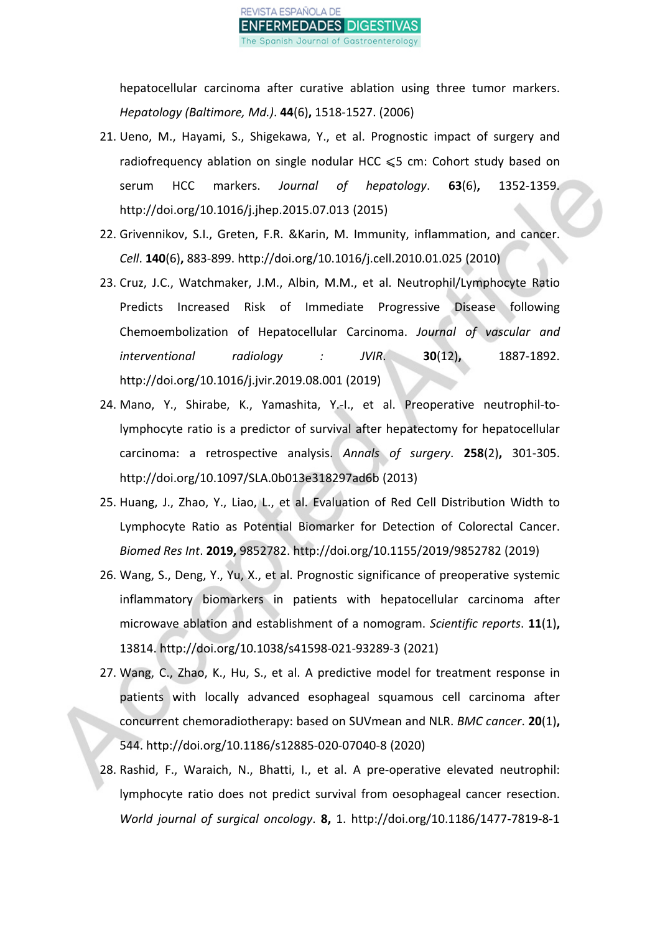

hepatocellular carcinoma after curative ablation using three tumor markers. *Hepatology (Baltimore, Md.)*. **44**(6)**,** 1518-1527. (2006)

- 21. Ueno, M., Hayami, S., Shigekawa, Y., et al. Prognostic impact of surgery and radiofrequency ablation on single nodular HCC  $\leqslant$ 5 cm: Cohort study based on serum HCC markers. *Journal of hepatology*. **63**(6)**,** 1352-1359. http://doi.org/10.1016/j.jhep.2015.07.013 (2015)
- 22. Grivennikov, S.I., Greten, F.R. &Karin, M. Immunity, inflammation, and cancer. *Cell*. **140**(6)**,** 883-899. http://doi.org/10.1016/j.cell.2010.01.025 (2010)
- 23. Cruz, J.C., Watchmaker, J.M., Albin, M.M., et al. Neutrophil/Lymphocyte Ratio Predicts Increased Risk of Immediate Progressive Disease following Chemoembolization of Hepatocellular Carcinoma. *Journal of vascular and interventional radiology : JVIR*. **30**(12)**,** 1887-1892. http://doi.org/10.1016/j.jvir.2019.08.001 (2019)
- 24. Mano, Y., Shirabe, K., Yamashita, Y.-I., et al. Preoperative neutrophil-tolymphocyte ratio is a predictor of survival after hepatectomy for hepatocellular carcinoma: a retrospective analysis. *Annals of surgery*. **258**(2)**,** 301-305. http://doi.org/10.1097/SLA.0b013e318297ad6b (2013)
- 25. Huang, J., Zhao, Y., Liao, L., et al. Evaluation of Red Cell Distribution Width to Lymphocyte Ratio as Potential Biomarker for Detection of Colorectal Cancer. *Biomed Res Int*. **2019,** 9852782. http://doi.org/10.1155/2019/9852782 (2019)
- 26. Wang, S., Deng, Y., Yu, X., et al. Prognostic significance of preoperative systemic inflammatory biomarkers in patients with hepatocellular carcinoma after microwave ablation and establishment of a nomogram. *Scientific reports*. **11**(1)**,** 13814. http://doi.org/10.1038/s41598-021-93289-3 (2021)
- 27. Wang, C., Zhao, K., Hu, S., et al. A predictive model for treatment response in patients with locally advanced esophageal squamous cell carcinoma after concurrent chemoradiotherapy: based on SUVmean and NLR. *BMC cancer*. **20**(1)**,** 544. http://doi.org/10.1186/s12885-020-07040-8 (2020)
- 28. Rashid, F., Waraich, N., Bhatti, I., et al. A pre-operative elevated neutrophil: lymphocyte ratio does not predict survival from oesophageal cancer resection. *World journal of surgical oncology*. **8,** 1. http://doi.org/10.1186/1477-7819-8-1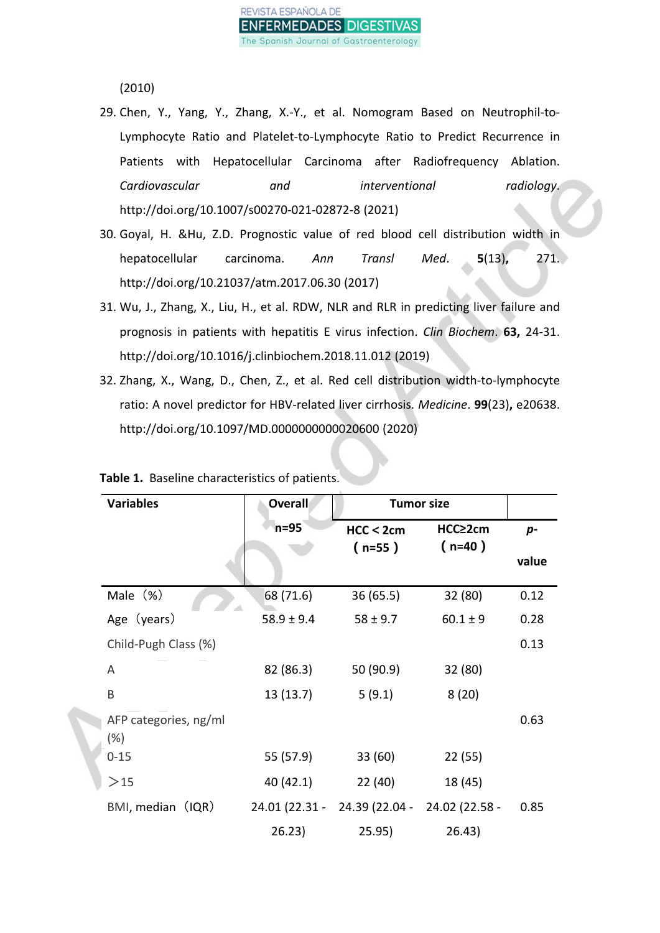(2010)

- 29. Chen, Y., Yang, Y., Zhang, X.-Y., et al. Nomogram Based on Neutrophil-to-Lymphocyte Ratio and Platelet-to-Lymphocyte Ratio to Predict Recurrence in Patients with Hepatocellular Carcinoma after Radiofrequency Ablation. *Cardiovascular and interventional radiology*. http://doi.org/10.1007/s00270-021-02872-8 (2021)
- 30. Goyal, H. &Hu, Z.D. Prognostic value of red blood cell distribution width in hepatocellular carcinoma. *Ann Transl Med*. **5**(13)**,** 271. http://doi.org/10.21037/atm.2017.06.30 (2017)
- 31. Wu, J., Zhang, X., Liu, H., et al. RDW, NLR and RLR in predicting liver failure and prognosis in patients with hepatitis E virus infection. *Clin Biochem*. **63,** 24-31. http://doi.org/10.1016/j.clinbiochem.2018.11.012 (2019)
- 32. Zhang, X., Wang, D., Chen, Z., et al. Red cell distribution width-to-lymphocyte ratio: A novel predictor for HBV-related liver cirrhosis. *Medicine*. **99**(23)**,** e20638. http://doi.org/10.1097/MD.0000000000020600 (2020)

| <b>Variables</b>                | Overall        |                               | <b>Tumor size</b> |       |
|---------------------------------|----------------|-------------------------------|-------------------|-------|
|                                 | n=95           | HCC < 2cm                     | HCC≥2cm           | p-    |
|                                 |                | $(n=55)$                      | $(n=40)$          | value |
| Male $(\%)$                     | 68 (71.6)      | 36 (65.5)                     | 32 (80)           | 0.12  |
| Age (years)                     | $58.9 \pm 9.4$ | $58 \pm 9.7$                  | $60.1 \pm 9$      | 0.28  |
| Child-Pugh Class (%)            |                |                               |                   | 0.13  |
| A                               | 82 (86.3)      | 50 (90.9)                     | 32 (80)           |       |
| B                               | 13(13.7)       | 5(9.1)                        | 8(20)             |       |
| AFP categories, ng/ml<br>$(\%)$ |                |                               |                   | 0.63  |
| $0 - 15$                        | 55 (57.9)      | 33 (60)                       | 22 (55)           |       |
| $>15$                           | 40 (42.1)      | 22(40)                        | 18 (45)           |       |
| BMI, median (IQR)               |                | 24.01 (22.31 - 24.39 (22.04 - | 24.02 (22.58 -    | 0.85  |
|                                 | 26.23)         | 25.95)                        | 26.43)            |       |

# **Table 1.** Baseline characteristics of patients.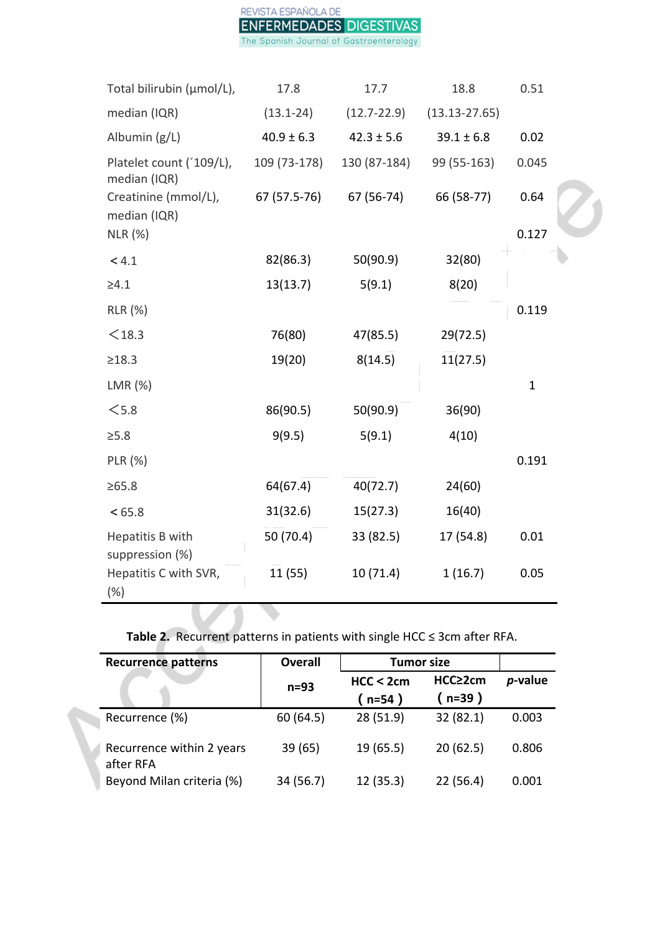

| $(13.13 - 27.65)$<br>median (IQR)<br>$(13.1 - 24)$<br>$(12.7 - 22.9)$<br>Albumin (g/L)<br>$40.9 \pm 6.3$<br>$42.3 \pm 5.6$<br>$39.1 \pm 6.8$<br>0.02<br>Platelet count ('109/L),<br>99 (55-163)<br>0.045<br>109 (73-178)<br>130 (87-184)<br>median (IQR)<br>67 (57.5-76)<br>67 (56-74)<br>66 (58-77)<br>0.64<br>Creatinine (mmol/L),<br>median (IQR)<br>0.127<br>$NLR$ $(\%)$<br>50(90.9)<br>82(86.3)<br>32(80)<br>< 4.1<br>13(13.7)<br>5(9.1)<br>8(20)<br>$\geq 4.1$<br>0.119<br><b>RLR</b> (%)<br>$<$ 18.3<br>76(80)<br>47(85.5)<br>29(72.5)<br>≥18.3<br>19(20)<br>8(14.5)<br>11(27.5)<br>LMR (%)<br>$\mathbf{1}$<br>< 5.8<br>50(90.9)<br>86(90.5)<br>36(90)<br>9(9.5)<br>5(9.1)<br>4(10)<br>$\geq 5.8$<br>PLR (%)<br>0.191<br>$\geq 65.8$<br>64(67.4)<br>40(72.7)<br>24(60)<br>31(32.6)<br>15(27.3)<br>16(40)<br>< 65.8<br>50 (70.4)<br>0.01<br>Hepatitis B with<br>33 (82.5)<br>17 (54.8)<br>suppression (%)<br>1(16.7)<br>Hepatitis C with SVR,<br>11(55)<br>10(71.4)<br>0.05 | Total bilirubin (µmol/L), | 17.8 | 17.7 | 18.8 | 0.51 |
|------------------------------------------------------------------------------------------------------------------------------------------------------------------------------------------------------------------------------------------------------------------------------------------------------------------------------------------------------------------------------------------------------------------------------------------------------------------------------------------------------------------------------------------------------------------------------------------------------------------------------------------------------------------------------------------------------------------------------------------------------------------------------------------------------------------------------------------------------------------------------------------------------------------------------------------------------------------------------------|---------------------------|------|------|------|------|
|                                                                                                                                                                                                                                                                                                                                                                                                                                                                                                                                                                                                                                                                                                                                                                                                                                                                                                                                                                                    |                           |      |      |      |      |
|                                                                                                                                                                                                                                                                                                                                                                                                                                                                                                                                                                                                                                                                                                                                                                                                                                                                                                                                                                                    |                           |      |      |      |      |
|                                                                                                                                                                                                                                                                                                                                                                                                                                                                                                                                                                                                                                                                                                                                                                                                                                                                                                                                                                                    |                           |      |      |      |      |
|                                                                                                                                                                                                                                                                                                                                                                                                                                                                                                                                                                                                                                                                                                                                                                                                                                                                                                                                                                                    |                           |      |      |      |      |
|                                                                                                                                                                                                                                                                                                                                                                                                                                                                                                                                                                                                                                                                                                                                                                                                                                                                                                                                                                                    |                           |      |      |      |      |
|                                                                                                                                                                                                                                                                                                                                                                                                                                                                                                                                                                                                                                                                                                                                                                                                                                                                                                                                                                                    |                           |      |      |      |      |
|                                                                                                                                                                                                                                                                                                                                                                                                                                                                                                                                                                                                                                                                                                                                                                                                                                                                                                                                                                                    |                           |      |      |      |      |
|                                                                                                                                                                                                                                                                                                                                                                                                                                                                                                                                                                                                                                                                                                                                                                                                                                                                                                                                                                                    |                           |      |      |      |      |
|                                                                                                                                                                                                                                                                                                                                                                                                                                                                                                                                                                                                                                                                                                                                                                                                                                                                                                                                                                                    |                           |      |      |      |      |
|                                                                                                                                                                                                                                                                                                                                                                                                                                                                                                                                                                                                                                                                                                                                                                                                                                                                                                                                                                                    |                           |      |      |      |      |
|                                                                                                                                                                                                                                                                                                                                                                                                                                                                                                                                                                                                                                                                                                                                                                                                                                                                                                                                                                                    |                           |      |      |      |      |
|                                                                                                                                                                                                                                                                                                                                                                                                                                                                                                                                                                                                                                                                                                                                                                                                                                                                                                                                                                                    |                           |      |      |      |      |
|                                                                                                                                                                                                                                                                                                                                                                                                                                                                                                                                                                                                                                                                                                                                                                                                                                                                                                                                                                                    |                           |      |      |      |      |
|                                                                                                                                                                                                                                                                                                                                                                                                                                                                                                                                                                                                                                                                                                                                                                                                                                                                                                                                                                                    |                           |      |      |      |      |
|                                                                                                                                                                                                                                                                                                                                                                                                                                                                                                                                                                                                                                                                                                                                                                                                                                                                                                                                                                                    |                           |      |      |      |      |
|                                                                                                                                                                                                                                                                                                                                                                                                                                                                                                                                                                                                                                                                                                                                                                                                                                                                                                                                                                                    |                           |      |      |      |      |
|                                                                                                                                                                                                                                                                                                                                                                                                                                                                                                                                                                                                                                                                                                                                                                                                                                                                                                                                                                                    |                           |      |      |      |      |
| $(\%)$                                                                                                                                                                                                                                                                                                                                                                                                                                                                                                                                                                                                                                                                                                                                                                                                                                                                                                                                                                             |                           |      |      |      |      |

# **Table 2.** Recurrent patterns in patients with single HCC ≤ 3cm after RFA.

| <b>Recurrence patterns</b>             | <b>Overall</b> | <b>Tumor size</b>   |                   |         |
|----------------------------------------|----------------|---------------------|-------------------|---------|
|                                        | $n=93$         | HCC < 2cm<br>(n=54) | HCC≥2cm<br>(n=39) | p-value |
| Recurrence (%)                         | 60 (64.5)      | 28(51.9)            | 32 (82.1)         | 0.003   |
| Recurrence within 2 years<br>after RFA | 39(65)         | 19 (65.5)           | 20(62.5)          | 0.806   |
| Beyond Milan criteria (%)              | 34 (56.7)      | 12(35.3)            | 22(56.4)          | 0.001   |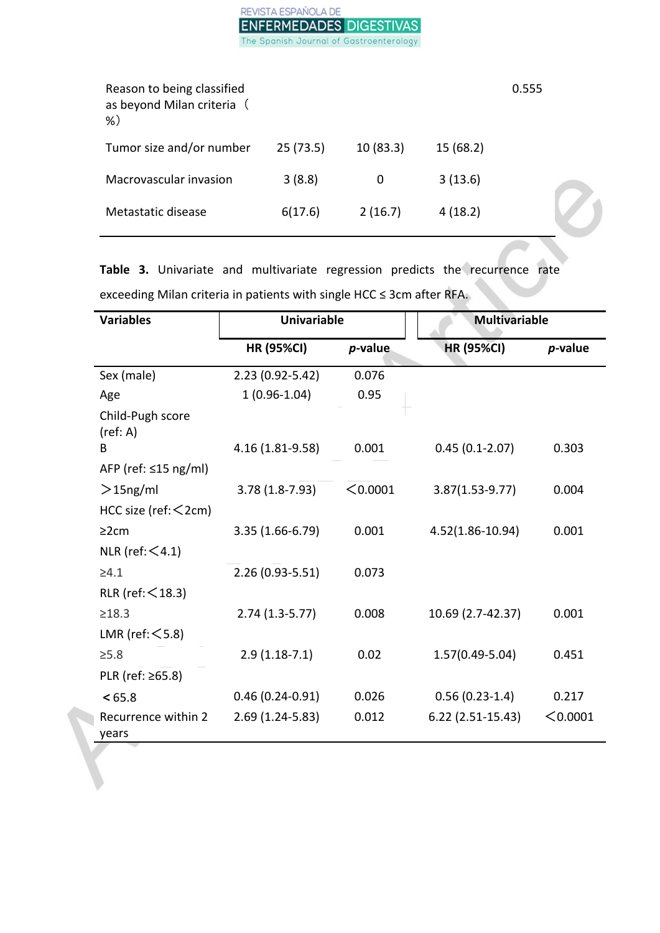# REVISTA ESPAÑOLA DE **ENFERMEDADES DIGESTIVAS** The Spanish Journal of Gastroenterology

| Reason to being classified<br>as beyond Milan criteria (<br>$%$ ) |          |          |          | 0.555 |
|-------------------------------------------------------------------|----------|----------|----------|-------|
| Tumor size and/or number                                          | 25(73.5) | 10(83.3) | 15(68.2) |       |
| Macrovascular invasion                                            | 3(8.8)   | 0        | 3(13.6)  |       |
| Metastatic disease                                                | 6(17.6)  | 2(16.7)  | 4(18.2)  |       |
|                                                                   |          |          |          |       |

**Table 3.** Univariate and multivariate regression predicts the recurrence rate exceeding Milan criteria in patients with single HCC ≤ 3cm after RFA.

| <b>Variables</b>             | <b>Univariable</b>  |          | <b>Multivariable</b> |          |
|------------------------------|---------------------|----------|----------------------|----------|
|                              | <b>HR (95%CI)</b>   | p-value  | <b>HR (95%CI)</b>    | p-value  |
| Sex (male)                   | $2.23(0.92 - 5.42)$ | 0.076    |                      |          |
| Age                          | $1(0.96-1.04)$      | 0.95     |                      |          |
| Child-Pugh score<br>(ref: A) |                     |          |                      |          |
| B                            | 4.16 (1.81-9.58)    | 0.001    | $0.45(0.1-2.07)$     | 0.303    |
| AFP (ref: $\leq$ 15 ng/ml)   |                     |          |                      |          |
| $>$ 15ng/ml                  | $3.78(1.8-7.93)$    | < 0.0001 | $3.87(1.53 - 9.77)$  | 0.004    |
| HCC size (ref: $<$ 2cm)      |                     |          |                      |          |
| 22cm                         | $3.35(1.66-6.79)$   | 0.001    | 4.52(1.86-10.94)     | 0.001    |
| NLR (ref: $\leq$ 4.1)        |                     |          |                      |          |
| $\geq 4.1$                   | $2.26(0.93 - 5.51)$ | 0.073    |                      |          |
| RLR (ref: $\leq$ 18.3)       |                     |          |                      |          |
| $\geq 18.3$                  | $2.74(1.3-5.77)$    | 0.008    | 10.69 (2.7-42.37)    | 0.001    |
| LMR (ref: $\leq$ 5.8)        |                     |          |                      |          |
| $\geq 5.8$                   | $2.9(1.18-7.1)$     | 0.02     | $1.57(0.49 - 5.04)$  | 0.451    |
| PLR (ref: ≥65.8)             |                     |          |                      |          |
| < 65.8                       | $0.46(0.24-0.91)$   | 0.026    | $0.56(0.23-1.4)$     | 0.217    |
| Recurrence within 2<br>years | $2.69(1.24-5.83)$   | 0.012    | $6.22$ (2.51-15.43)  | < 0.0001 |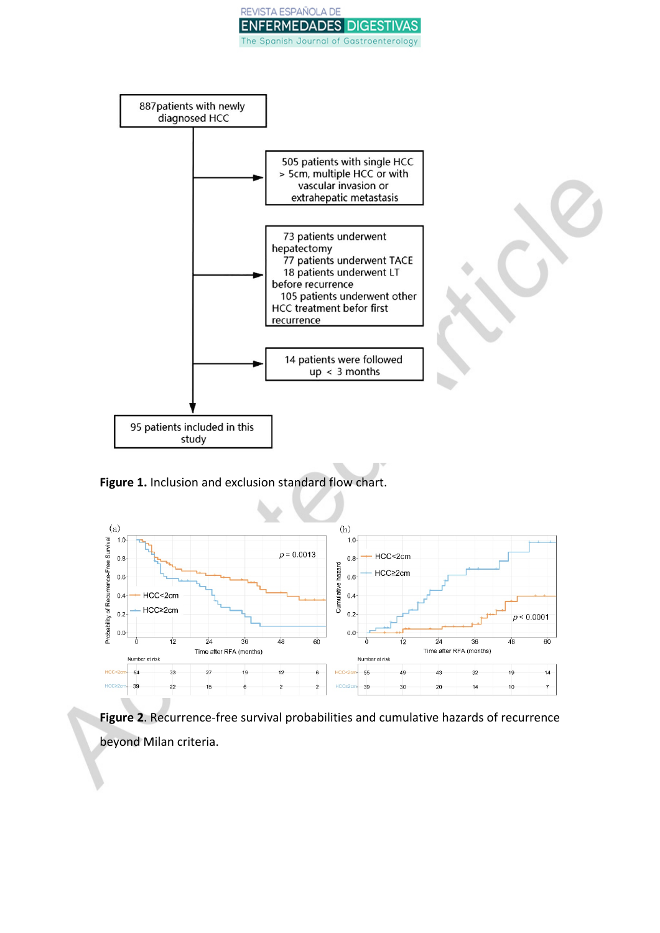



**Figure 1.** Inclusion and exclusion standard flow chart.



**Figure 2**. Recurrence-free survival probabilities and cumulative hazards of recurrence beyond Milan criteria.